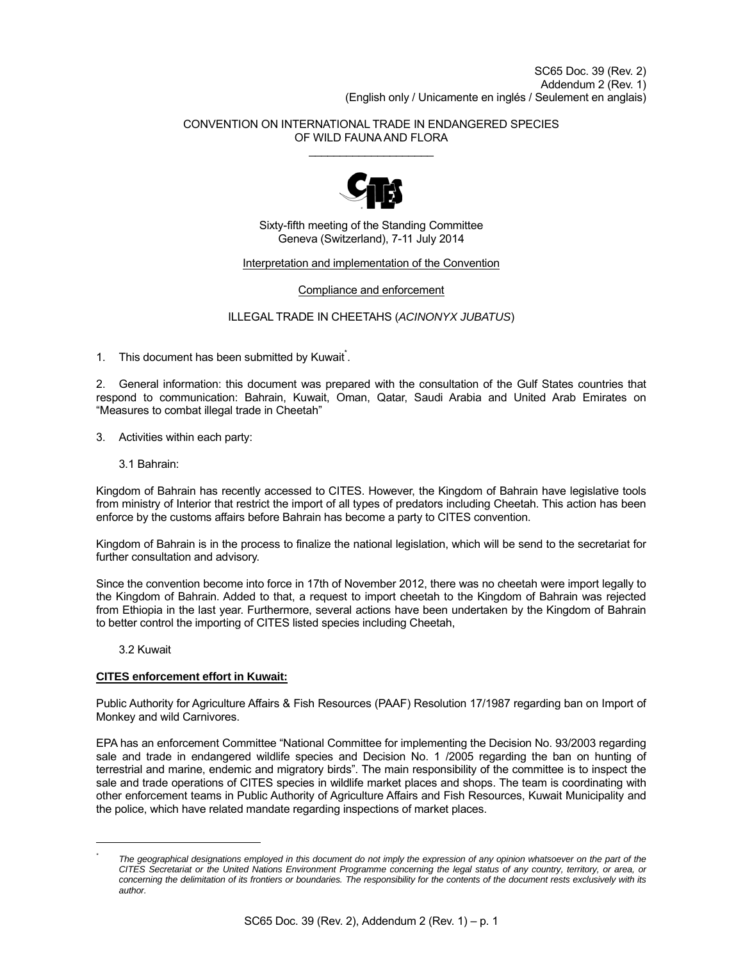## CONVENTION ON INTERNATIONAL TRADE IN ENDANGERED SPECIES OF WILD FAUNA AND FLORA  $\overline{\phantom{a}}$  , where  $\overline{\phantom{a}}$



Sixty-fifth meeting of the Standing Committee Geneva (Switzerland), 7-11 July 2014

# Interpretation and implementation of the Convention

Compliance and enforcement

ILLEGAL TRADE IN CHEETAHS (*ACINONYX JUBATUS*)

1. This document has been submitted by Kuwait<sup>\*</sup>.

2. General information: this document was prepared with the consultation of the Gulf States countries that respond to communication: Bahrain, Kuwait, Oman, Qatar, Saudi Arabia and United Arab Emirates on "Measures to combat illegal trade in Cheetah"

3. Activities within each party:

3.1 Bahrain:

Kingdom of Bahrain has recently accessed to CITES. However, the Kingdom of Bahrain have legislative tools from ministry of Interior that restrict the import of all types of predators including Cheetah. This action has been enforce by the customs affairs before Bahrain has become a party to CITES convention.

Kingdom of Bahrain is in the process to finalize the national legislation, which will be send to the secretariat for further consultation and advisory.

Since the convention become into force in 17th of November 2012, there was no cheetah were import legally to the Kingdom of Bahrain. Added to that, a request to import cheetah to the Kingdom of Bahrain was rejected from Ethiopia in the last year. Furthermore, several actions have been undertaken by the Kingdom of Bahrain to better control the importing of CITES listed species including Cheetah,

3.2 Kuwait

 $\overline{a}$ 

# **CITES enforcement effort in Kuwait:**

Public Authority for Agriculture Affairs & Fish Resources (PAAF) Resolution 17/1987 regarding ban on Import of Monkey and wild Carnivores.

EPA has an enforcement Committee "National Committee for implementing the Decision No. 93/2003 regarding sale and trade in endangered wildlife species and Decision No. 1 /2005 regarding the ban on hunting of terrestrial and marine, endemic and migratory birds". The main responsibility of the committee is to inspect the sale and trade operations of CITES species in wildlife market places and shops. The team is coordinating with other enforcement teams in Public Authority of Agriculture Affairs and Fish Resources, Kuwait Municipality and the police, which have related mandate regarding inspections of market places.

*<sup>\*</sup>* The geographical designations employed in this document do not imply the expression of any opinion whatsoever on the part of the *CITES Secretariat or the United Nations Environment Programme concerning the legal status of any country, territory, or area, or concerning the delimitation of its frontiers or boundaries. The responsibility for the contents of the document rests exclusively with its author.*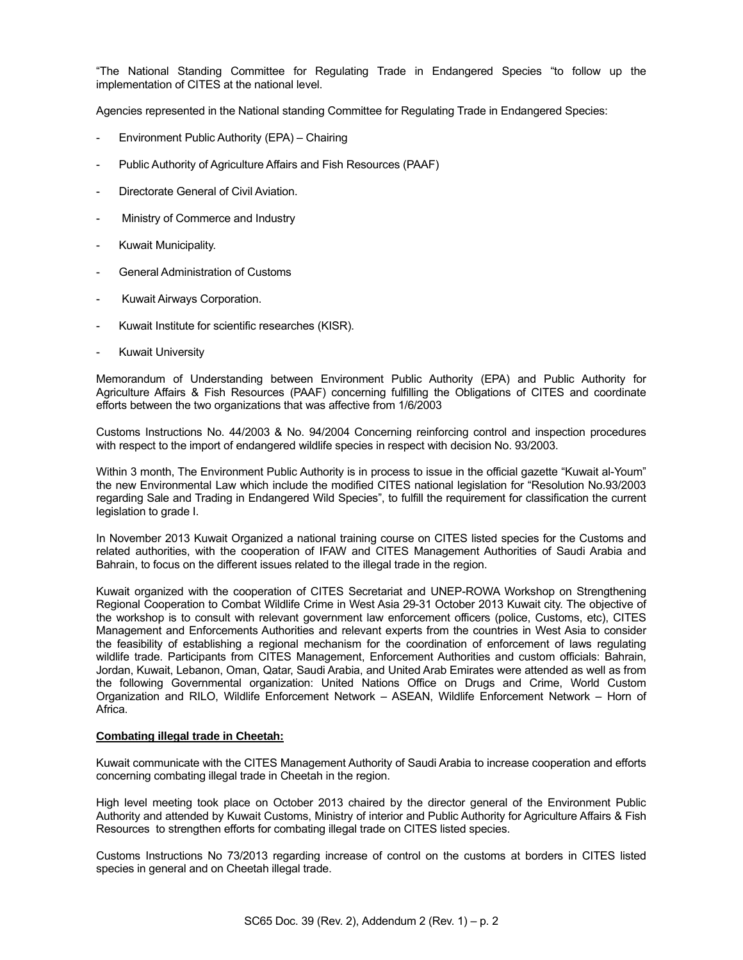"The National Standing Committee for Regulating Trade in Endangered Species "to follow up the implementation of CITES at the national level.

Agencies represented in the National standing Committee for Regulating Trade in Endangered Species:

- Environment Public Authority (EPA) Chairing
- Public Authority of Agriculture Affairs and Fish Resources (PAAF)
- Directorate General of Civil Aviation.
- Ministry of Commerce and Industry
- Kuwait Municipality.
- General Administration of Customs
- Kuwait Airways Corporation.
- Kuwait Institute for scientific researches (KISR).
- **Kuwait University**

Memorandum of Understanding between Environment Public Authority (EPA) and Public Authority for Agriculture Affairs & Fish Resources (PAAF) concerning fulfilling the Obligations of CITES and coordinate efforts between the two organizations that was affective from 1/6/2003

Customs Instructions No. 44/2003 & No. 94/2004 Concerning reinforcing control and inspection procedures with respect to the import of endangered wildlife species in respect with decision No. 93/2003.

Within 3 month, The Environment Public Authority is in process to issue in the official gazette "Kuwait al-Youm" the new Environmental Law which include the modified CITES national legislation for "Resolution No.93/2003 regarding Sale and Trading in Endangered Wild Species", to fulfill the requirement for classification the current legislation to grade I.

In November 2013 Kuwait Organized a national training course on CITES listed species for the Customs and related authorities, with the cooperation of IFAW and CITES Management Authorities of Saudi Arabia and Bahrain, to focus on the different issues related to the illegal trade in the region.

Kuwait organized with the cooperation of CITES Secretariat and UNEP-ROWA Workshop on Strengthening Regional Cooperation to Combat Wildlife Crime in West Asia 29-31 October 2013 Kuwait city. The objective of the workshop is to consult with relevant government law enforcement officers (police, Customs, etc), CITES Management and Enforcements Authorities and relevant experts from the countries in West Asia to consider the feasibility of establishing a regional mechanism for the coordination of enforcement of laws regulating wildlife trade. Participants from CITES Management, Enforcement Authorities and custom officials: Bahrain, Jordan, Kuwait, Lebanon, Oman, Qatar, Saudi Arabia, and United Arab Emirates were attended as well as from the following Governmental organization: United Nations Office on Drugs and Crime, World Custom Organization and RILO, Wildlife Enforcement Network – ASEAN, Wildlife Enforcement Network – Horn of Africa.

## **Combating illegal trade in Cheetah:**

Kuwait communicate with the CITES Management Authority of Saudi Arabia to increase cooperation and efforts concerning combating illegal trade in Cheetah in the region.

High level meeting took place on October 2013 chaired by the director general of the Environment Public Authority and attended by Kuwait Customs, Ministry of interior and Public Authority for Agriculture Affairs & Fish Resources to strengthen efforts for combating illegal trade on CITES listed species.

Customs Instructions No 73/2013 regarding increase of control on the customs at borders in CITES listed species in general and on Cheetah illegal trade.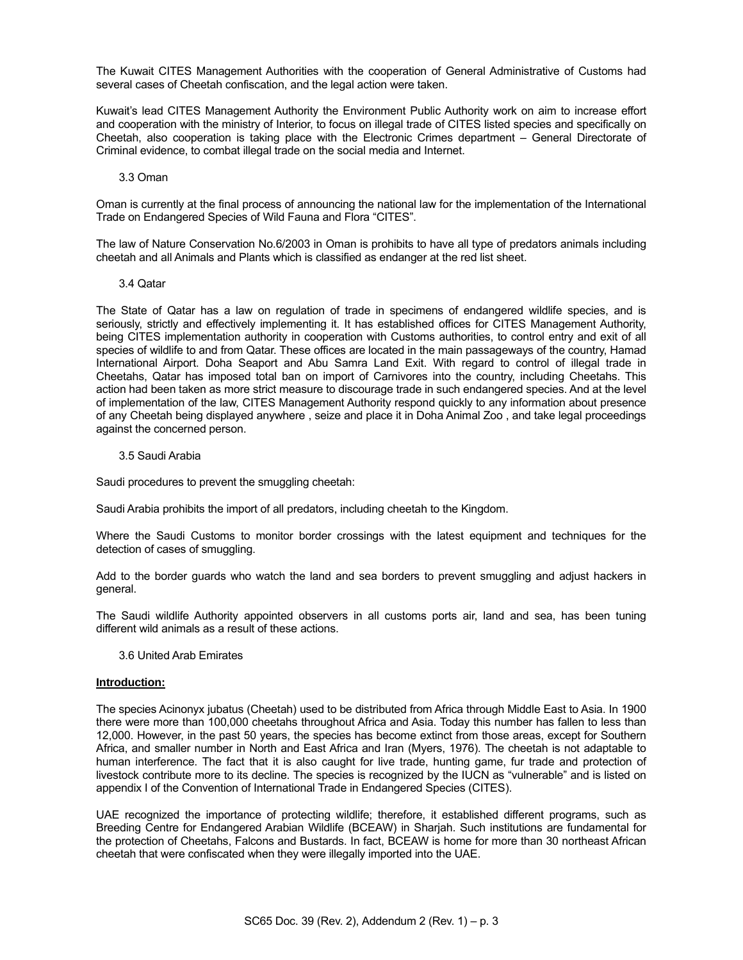The Kuwait CITES Management Authorities with the cooperation of General Administrative of Customs had several cases of Cheetah confiscation, and the legal action were taken.

Kuwait's lead CITES Management Authority the Environment Public Authority work on aim to increase effort and cooperation with the ministry of Interior, to focus on illegal trade of CITES listed species and specifically on Cheetah, also cooperation is taking place with the Electronic Crimes department – General Directorate of Criminal evidence, to combat illegal trade on the social media and Internet.

#### 3.3 Oman

Oman is currently at the final process of announcing the national law for the implementation of the International Trade on Endangered Species of Wild Fauna and Flora "CITES".

The law of Nature Conservation No.6/2003 in Oman is prohibits to have all type of predators animals including cheetah and all Animals and Plants which is classified as endanger at the red list sheet.

#### 3.4 Qatar

The State of Qatar has a law on regulation of trade in specimens of endangered wildlife species, and is seriously, strictly and effectively implementing it. It has established offices for CITES Management Authority, being CITES implementation authority in cooperation with Customs authorities, to control entry and exit of all species of wildlife to and from Qatar. These offices are located in the main passageways of the country, Hamad International Airport. Doha Seaport and Abu Samra Land Exit. With regard to control of illegal trade in Cheetahs, Qatar has imposed total ban on import of Carnivores into the country, including Cheetahs. This action had been taken as more strict measure to discourage trade in such endangered species. And at the level of implementation of the law, CITES Management Authority respond quickly to any information about presence of any Cheetah being displayed anywhere , seize and place it in Doha Animal Zoo , and take legal proceedings against the concerned person.

## 3.5 Saudi Arabia

Saudi procedures to prevent the smuggling cheetah:

Saudi Arabia prohibits the import of all predators, including cheetah to the Kingdom.

Where the Saudi Customs to monitor border crossings with the latest equipment and techniques for the detection of cases of smuggling.

Add to the border guards who watch the land and sea borders to prevent smuggling and adjust hackers in general.

The Saudi wildlife Authority appointed observers in all customs ports air, land and sea, has been tuning different wild animals as a result of these actions.

3.6 United Arab Emirates

## **Introduction:**

The species Acinonyx jubatus (Cheetah) used to be distributed from Africa through Middle East to Asia. In 1900 there were more than 100,000 cheetahs throughout Africa and Asia. Today this number has fallen to less than 12,000. However, in the past 50 years, the species has become extinct from those areas, except for Southern Africa, and smaller number in North and East Africa and Iran (Myers, 1976). The cheetah is not adaptable to human interference. The fact that it is also caught for live trade, hunting game, fur trade and protection of livestock contribute more to its decline. The species is recognized by the IUCN as "vulnerable" and is listed on appendix I of the Convention of International Trade in Endangered Species (CITES).

UAE recognized the importance of protecting wildlife; therefore, it established different programs, such as Breeding Centre for Endangered Arabian Wildlife (BCEAW) in Sharjah. Such institutions are fundamental for the protection of Cheetahs, Falcons and Bustards. In fact, BCEAW is home for more than 30 northeast African cheetah that were confiscated when they were illegally imported into the UAE.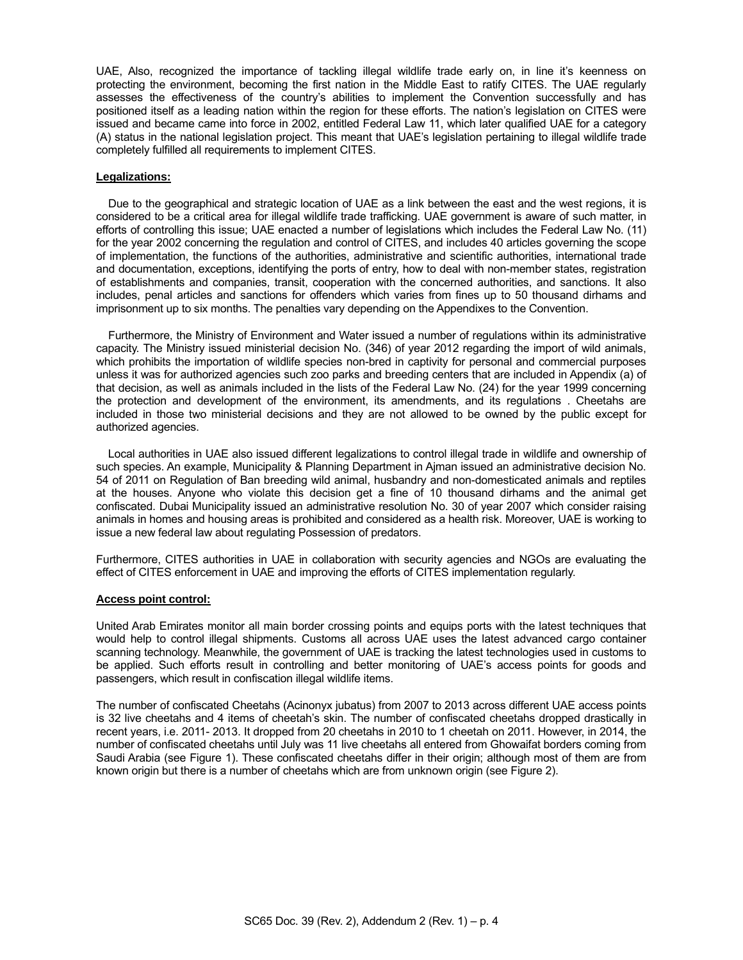UAE, Also, recognized the importance of tackling illegal wildlife trade early on, in line it's keenness on protecting the environment, becoming the first nation in the Middle East to ratify CITES. The UAE regularly assesses the effectiveness of the country's abilities to implement the Convention successfully and has positioned itself as a leading nation within the region for these efforts. The nation's legislation on CITES were issued and became came into force in 2002, entitled Federal Law 11, which later qualified UAE for a category (A) status in the national legislation project. This meant that UAE's legislation pertaining to illegal wildlife trade completely fulfilled all requirements to implement CITES.

## **Legalizations:**

 Due to the geographical and strategic location of UAE as a link between the east and the west regions, it is considered to be a critical area for illegal wildlife trade trafficking. UAE government is aware of such matter, in efforts of controlling this issue; UAE enacted a number of legislations which includes the Federal Law No. (11) for the year 2002 concerning the regulation and control of CITES, and includes 40 articles governing the scope of implementation, the functions of the authorities, administrative and scientific authorities, international trade and documentation, exceptions, identifying the ports of entry, how to deal with non-member states, registration of establishments and companies, transit, cooperation with the concerned authorities, and sanctions. It also includes, penal articles and sanctions for offenders which varies from fines up to 50 thousand dirhams and imprisonment up to six months. The penalties vary depending on the Appendixes to the Convention.

 Furthermore, the Ministry of Environment and Water issued a number of regulations within its administrative capacity. The Ministry issued ministerial decision No. (346) of year 2012 regarding the import of wild animals, which prohibits the importation of wildlife species non-bred in captivity for personal and commercial purposes unless it was for authorized agencies such zoo parks and breeding centers that are included in Appendix (a) of that decision, as well as animals included in the lists of the Federal Law No. (24) for the year 1999 concerning the protection and development of the environment, its amendments, and its regulations . Cheetahs are included in those two ministerial decisions and they are not allowed to be owned by the public except for authorized agencies.

 Local authorities in UAE also issued different legalizations to control illegal trade in wildlife and ownership of such species. An example, Municipality & Planning Department in Ajman issued an administrative decision No. 54 of 2011 on Regulation of Ban breeding wild animal, husbandry and non-domesticated animals and reptiles at the houses. Anyone who violate this decision get a fine of 10 thousand dirhams and the animal get confiscated. Dubai Municipality issued an administrative resolution No. 30 of year 2007 which consider raising animals in homes and housing areas is prohibited and considered as a health risk. Moreover, UAE is working to issue a new federal law about regulating Possession of predators.

Furthermore, CITES authorities in UAE in collaboration with security agencies and NGOs are evaluating the effect of CITES enforcement in UAE and improving the efforts of CITES implementation regularly.

#### **Access point control:**

United Arab Emirates monitor all main border crossing points and equips ports with the latest techniques that would help to control illegal shipments. Customs all across UAE uses the latest advanced cargo container scanning technology. Meanwhile, the government of UAE is tracking the latest technologies used in customs to be applied. Such efforts result in controlling and better monitoring of UAE's access points for goods and passengers, which result in confiscation illegal wildlife items.

The number of confiscated Cheetahs (Acinonyx jubatus) from 2007 to 2013 across different UAE access points is 32 live cheetahs and 4 items of cheetah's skin. The number of confiscated cheetahs dropped drastically in recent years, i.e. 2011- 2013. It dropped from 20 cheetahs in 2010 to 1 cheetah on 2011. However, in 2014, the number of confiscated cheetahs until July was 11 live cheetahs all entered from Ghowaifat borders coming from Saudi Arabia (see Figure 1). These confiscated cheetahs differ in their origin; although most of them are from known origin but there is a number of cheetahs which are from unknown origin (see Figure 2).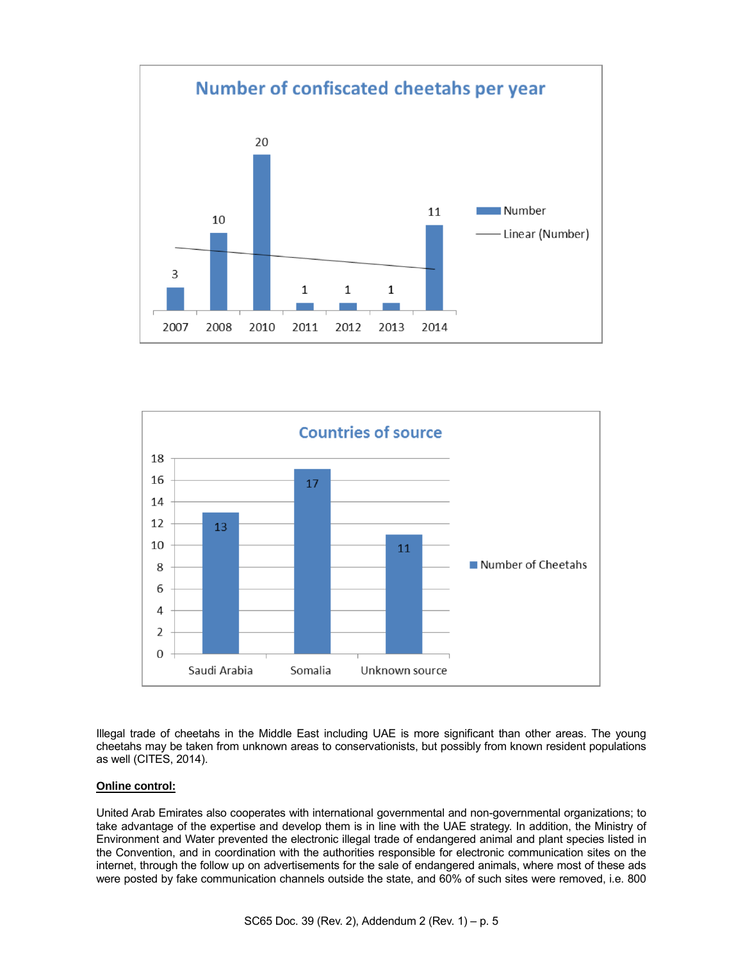



Illegal trade of cheetahs in the Middle East including UAE is more significant than other areas. The young cheetahs may be taken from unknown areas to conservationists, but possibly from known resident populations as well (CITES, 2014).

## **Online control:**

United Arab Emirates also cooperates with international governmental and non-governmental organizations; to take advantage of the expertise and develop them is in line with the UAE strategy. In addition, the Ministry of Environment and Water prevented the electronic illegal trade of endangered animal and plant species listed in the Convention, and in coordination with the authorities responsible for electronic communication sites on the internet, through the follow up on advertisements for the sale of endangered animals, where most of these ads were posted by fake communication channels outside the state, and 60% of such sites were removed, i.e. 800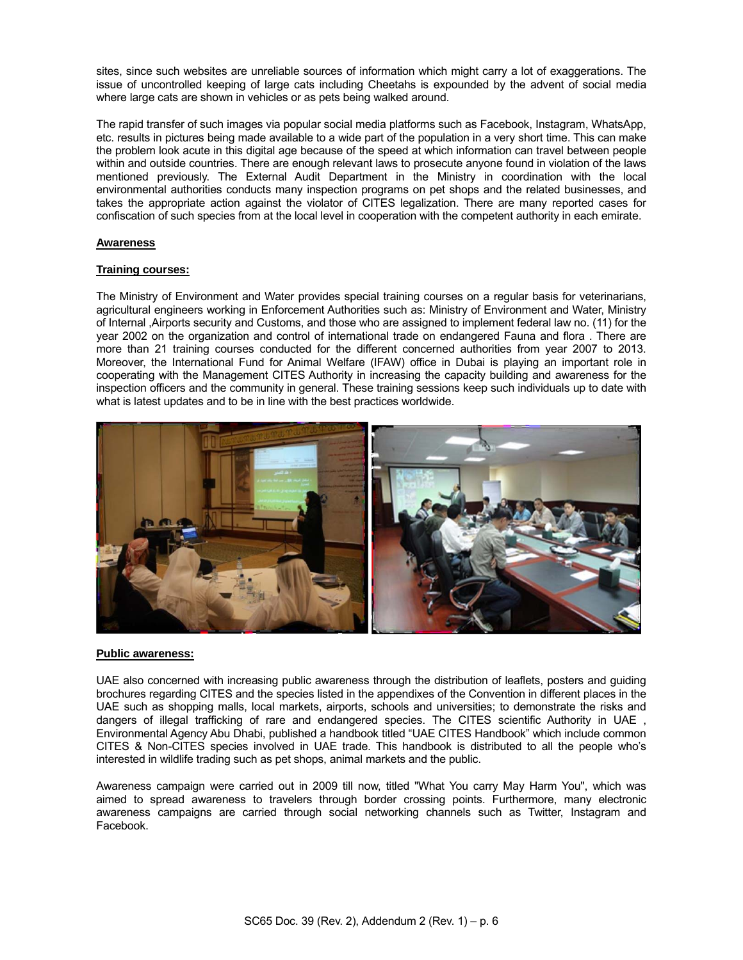sites, since such websites are unreliable sources of information which might carry a lot of exaggerations. The issue of uncontrolled keeping of large cats including Cheetahs is expounded by the advent of social media where large cats are shown in vehicles or as pets being walked around.

The rapid transfer of such images via popular social media platforms such as Facebook, Instagram, WhatsApp, etc. results in pictures being made available to a wide part of the population in a very short time. This can make the problem look acute in this digital age because of the speed at which information can travel between people within and outside countries. There are enough relevant laws to prosecute anyone found in violation of the laws mentioned previously. The External Audit Department in the Ministry in coordination with the local environmental authorities conducts many inspection programs on pet shops and the related businesses, and takes the appropriate action against the violator of CITES legalization. There are many reported cases for confiscation of such species from at the local level in cooperation with the competent authority in each emirate.

## **Awareness**

## **Training courses:**

The Ministry of Environment and Water provides special training courses on a regular basis for veterinarians, agricultural engineers working in Enforcement Authorities such as: Ministry of Environment and Water, Ministry of Internal ,Airports security and Customs, and those who are assigned to implement federal law no. (11) for the year 2002 on the organization and control of international trade on endangered Fauna and flora . There are more than 21 training courses conducted for the different concerned authorities from year 2007 to 2013. Moreover, the International Fund for Animal Welfare (IFAW) office in Dubai is playing an important role in cooperating with the Management CITES Authority in increasing the capacity building and awareness for the inspection officers and the community in general. These training sessions keep such individuals up to date with what is latest updates and to be in line with the best practices worldwide.



## **Public awareness:**

UAE also concerned with increasing public awareness through the distribution of leaflets, posters and guiding brochures regarding CITES and the species listed in the appendixes of the Convention in different places in the UAE such as shopping malls, local markets, airports, schools and universities; to demonstrate the risks and dangers of illegal trafficking of rare and endangered species. The CITES scientific Authority in UAE , Environmental Agency Abu Dhabi, published a handbook titled "UAE CITES Handbook" which include common CITES & Non-CITES species involved in UAE trade. This handbook is distributed to all the people who's interested in wildlife trading such as pet shops, animal markets and the public.

Awareness campaign were carried out in 2009 till now, titled "What You carry May Harm You", which was aimed to spread awareness to travelers through border crossing points. Furthermore, many electronic awareness campaigns are carried through social networking channels such as Twitter, Instagram and Facebook.